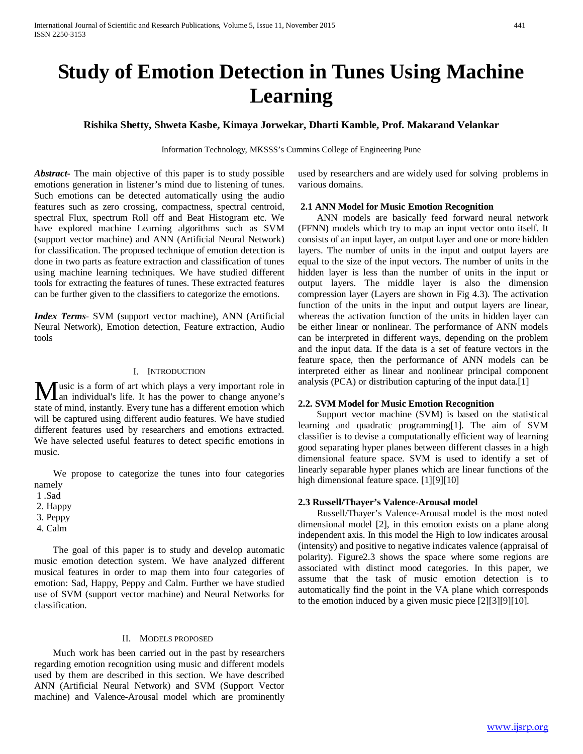# **Study of Emotion Detection in Tunes Using Machine Learning**

# **Rishika Shetty, Shweta Kasbe, Kimaya Jorwekar, Dharti Kamble, Prof. Makarand Velankar**

Information Technology, MKSSS's Cummins College of Engineering Pune

*Abstract***-** The main objective of this paper is to study possible emotions generation in listener's mind due to listening of tunes. Such emotions can be detected automatically using the audio features such as zero crossing, compactness, spectral centroid, spectral Flux, spectrum Roll off and Beat Histogram etc. We have explored machine Learning algorithms such as SVM (support vector machine) and ANN (Artificial Neural Network) for classification. The proposed technique of emotion detection is done in two parts as feature extraction and classification of tunes using machine learning techniques. We have studied different tools for extracting the features of tunes. These extracted features can be further given to the classifiers to categorize the emotions.

*Index Terms*- SVM (support vector machine), ANN (Artificial Neural Network), Emotion detection, Feature extraction, Audio tools

#### I. INTRODUCTION

usic is a form of art which plays a very important role in **M** usic is a form of art which plays a very important role in<br>
an individual's life. It has the power to change anyone's state of mind, instantly. Every tune has a different emotion which will be captured using different audio features. We have studied different features used by researchers and emotions extracted. We have selected useful features to detect specific emotions in music.

 We propose to categorize the tunes into four categories namely

2. Happy

- 3. Peppy
- 4. Calm

 The goal of this paper is to study and develop automatic music emotion detection system. We have analyzed different musical features in order to map them into four categories of emotion: Sad, Happy, Peppy and Calm. Further we have studied use of SVM (support vector machine) and Neural Networks for classification.

# II. MODELS PROPOSED

 Much work has been carried out in the past by researchers regarding emotion recognition using music and different models used by them are described in this section. We have described ANN (Artificial Neural Network) and SVM (Support Vector machine) and Valence-Arousal model which are prominently used by researchers and are widely used for solving problems in various domains.

#### **2.1 ANN Model for Music Emotion Recognition**

 ANN models are basically feed forward neural network (FFNN) models which try to map an input vector onto itself. It consists of an input layer, an output layer and one or more hidden layers. The number of units in the input and output layers are equal to the size of the input vectors. The number of units in the hidden layer is less than the number of units in the input or output layers. The middle layer is also the dimension compression layer (Layers are shown in Fig 4.3). The activation function of the units in the input and output layers are linear, whereas the activation function of the units in hidden layer can be either linear or nonlinear. The performance of ANN models can be interpreted in different ways, depending on the problem and the input data. If the data is a set of feature vectors in the feature space, then the performance of ANN models can be interpreted either as linear and nonlinear principal component analysis (PCA) or distribution capturing of the input data.[1]

## **2.2. SVM Model for Music Emotion Recognition**

 Support vector machine (SVM) is based on the statistical learning and quadratic programming[1]. The aim of SVM classifier is to devise a computationally efficient way of learning good separating hyper planes between different classes in a high dimensional feature space. SVM is used to identify a set of linearly separable hyper planes which are linear functions of the high dimensional feature space. [1][9][10]

## **2.3 Russell/Thayer's Valence-Arousal model**

 Russell/Thayer's Valence-Arousal model is the most noted dimensional model [2], in this emotion exists on a plane along independent axis. In this model the High to low indicates arousal (intensity) and positive to negative indicates valence (appraisal of polarity). Figure2.3 shows the space where some regions are associated with distinct mood categories. In this paper, we assume that the task of music emotion detection is to automatically find the point in the VA plane which corresponds to the emotion induced by a given music piece [2][3][9][10].

<sup>1 .</sup>Sad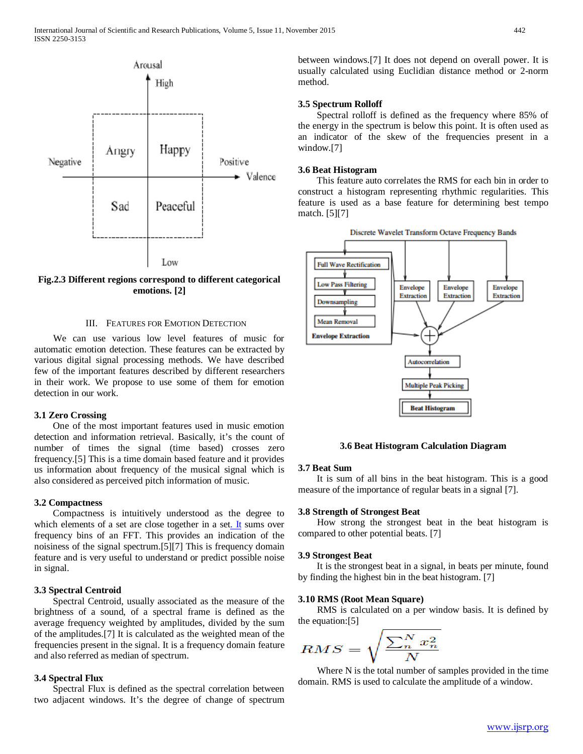

**Fig.2.3 Different regions correspond to different categorical emotions. [2]**

## III. FEATURES FOR EMOTION DETECTION

 We can use various low level features of music for automatic emotion detection. These features can be extracted by various digital signal processing methods. We have described few of the important features described by different researchers in their work. We propose to use some of them for emotion detection in our work.

## **3.1 Zero Crossing**

 One of the most important features used in music emotion detection and information retrieval. Basically, it's the count of number of times the signal (time based) crosses zero frequency.[5] This is a time domain based feature and it provides us information about frequency of the musical signal which is also considered as perceived pitch information of music.

# **3.2 Compactness**

 Compactness is intuitively understood as the degree to which elements of a set are close together in a se[t. It](http://openaccess.city.ac.uk/4110) sums over frequency bins of an FFT. This provides an indication of the noisiness of the signal spectrum.[5][7] This is frequency domain feature and is very useful to understand or predict possible noise in signal.

# **3.3 Spectral Centroid**

 Spectral Centroid, usually associated as the measure of the brightness of a sound, of a spectral frame is defined as the average frequency weighted by amplitudes, divided by the sum of the amplitudes.[7] It is calculated as the weighted mean of the frequencies present in the signal. It is a frequency domain feature and also referred as median of spectrum.

## **3.4 Spectral Flux**

 Spectral Flux is defined as the spectral correlation between two adjacent windows. It's the degree of change of spectrum between windows.[7] It does not depend on overall power. It is usually calculated using Euclidian distance method or 2-norm method.

#### **3.5 Spectrum Rolloff**

 Spectral rolloff is defined as the frequency where 85% of the energy in the spectrum is below this point. It is often used as an indicator of the skew of the frequencies present in a window.[7]

## **3.6 Beat Histogram**

 This feature auto correlates the RMS for each bin in order to construct a histogram representing rhythmic regularities. This feature is used as a base feature for determining best tempo match. [5][7]



## **3.6 Beat Histogram Calculation Diagram**

#### **3.7 Beat Sum**

 It is sum of all bins in the beat histogram. This is a good measure of the importance of regular beats in a signal [7].

## **3.8 Strength of Strongest Beat**

 How strong the strongest beat in the beat histogram is compared to other potential beats. [7]

#### **3.9 Strongest Beat**

 It is the strongest beat in a signal, in beats per minute, found by finding the highest bin in the beat histogram. [7]

#### **3.10 RMS (Root Mean Square)**

 RMS is calculated on a per window basis. It is defined by the equation:[5]

$$
RMS = \sqrt{\frac{\sum_{n=1}^{N} x_n^2}{N}}
$$

 Where N is the total number of samples provided in the time domain. RMS is used to calculate the amplitude of a window.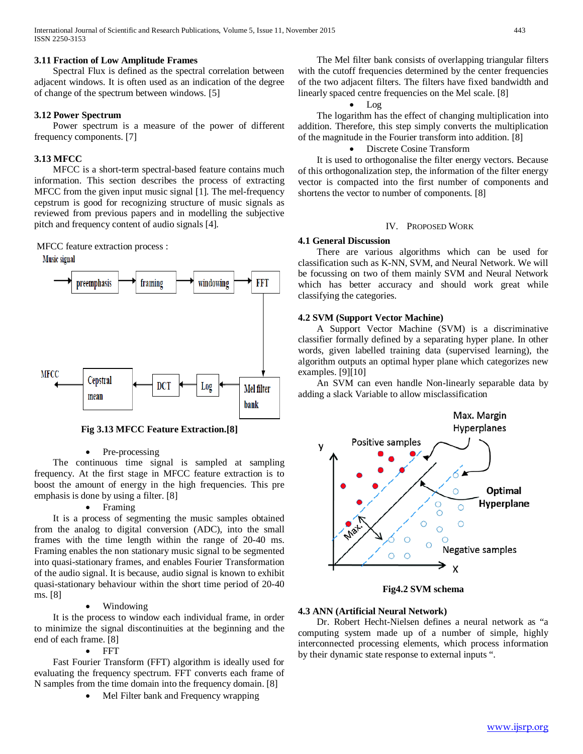# **3.11 Fraction of Low Amplitude Frames**

 Spectral Flux is defined as the spectral correlation between adjacent windows. It is often used as an indication of the degree of change of the spectrum between windows. [5]

# **3.12 Power Spectrum**

 Power spectrum is a measure of the power of different frequency components. [7]

# **3.13 MFCC**

 MFCC is a short-term spectral-based feature contains much information. This section describes the process of extracting MFCC from the given input music signal [1]. The mel-frequency cepstrum is good for recognizing structure of music signals as reviewed from previous papers and in modelling the subjective pitch and frequency content of audio signals [4].

MFCC feature extraction process :

Music signal



**Fig 3.13 MFCC Feature Extraction.[8]**

# • Pre-processing

 The continuous time signal is sampled at sampling frequency. At the first stage in MFCC feature extraction is to boost the amount of energy in the high frequencies. This pre emphasis is done by using a filter. [8]

# **Framing**

 It is a process of segmenting the music samples obtained from the analog to digital conversion (ADC), into the small frames with the time length within the range of 20-40 ms. Framing enables the non stationary music signal to be segmented into quasi-stationary frames, and enables Fourier Transformation of the audio signal. It is because, audio signal is known to exhibit quasi-stationary behaviour within the short time period of 20-40 ms. [8]

# • Windowing

 It is the process to window each individual frame, in order to minimize the signal discontinuities at the beginning and the end of each frame. [8]

# • FFT

 Fast Fourier Transform (FFT) algorithm is ideally used for evaluating the frequency spectrum. FFT converts each frame of N samples from the time domain into the frequency domain. [8]

• Mel Filter bank and Frequency wrapping

 The Mel filter bank consists of overlapping triangular filters with the cutoff frequencies determined by the center frequencies of the two adjacent filters. The filters have fixed bandwidth and linearly spaced centre frequencies on the Mel scale. [8]

• Log

 The logarithm has the effect of changing multiplication into addition. Therefore, this step simply converts the multiplication of the magnitude in the Fourier transform into addition. [8]

# • Discrete Cosine Transform

 It is used to orthogonalise the filter energy vectors. Because of this orthogonalization step, the information of the filter energy vector is compacted into the first number of components and shortens the vector to number of components. [8]

# IV. PROPOSED WORK

# **4.1 General Discussion**

 There are various algorithms which can be used for classification such as K-NN, SVM, and Neural Network. We will be focussing on two of them mainly SVM and Neural Network which has better accuracy and should work great while classifying the categories.

# **4.2 SVM (Support Vector Machine)**

 A Support Vector Machine (SVM) is a discriminative classifier formally defined by a separating hyper plane. In other words, given labelled training data (supervised learning), the algorithm outputs an optimal hyper plane which categorizes new examples. [9][10]

 An SVM can even handle Non-linearly separable data by adding a slack Variable to allow misclassification



**Fig4.2 SVM schema**

# **4.3 ANN (Artificial Neural Network)**

 Dr. Robert Hecht-Nielsen defines a neural network as "a computing system made up of a number of simple, highly interconnected processing elements, which process information by their dynamic state response to external inputs ".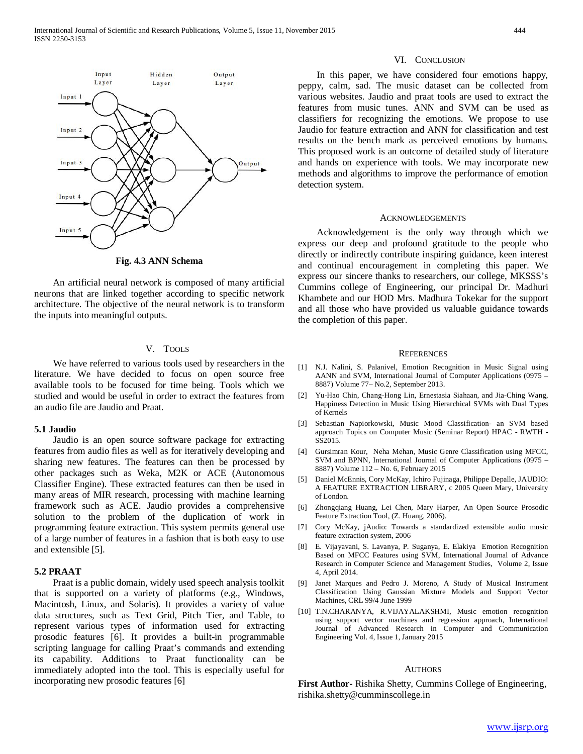

**Fig. 4.3 ANN Schema**

 An artificial neural network is composed of many artificial neurons that are linked together according to specific network architecture. The objective of the neural network is to transform the inputs into meaningful outputs.

#### V. TOOLS

 We have referred to various tools used by researchers in the literature. We have decided to focus on open source free available tools to be focused for time being. Tools which we studied and would be useful in order to extract the features from an audio file are Jaudio and Praat.

## **5.1 Jaudio**

 Jaudio is an open source software package for extracting features from audio files as well as for iteratively developing and sharing new features. The features can then be processed by other packages such as Weka, M2K or ACE (Autonomous Classifier Engine). These extracted features can then be used in many areas of MIR research, processing with machine learning framework such as ACE. Jaudio provides a comprehensive solution to the problem of the duplication of work in programming feature extraction. This system permits general use of a large number of features in a fashion that is both easy to use and extensible [5].

## **5.2 PRAAT**

 Praat is a public domain, widely used speech analysis toolkit that is supported on a variety of platforms (e.g., Windows, Macintosh, Linux, and Solaris). It provides a variety of value data structures, such as Text Grid, Pitch Tier, and Table, to represent various types of information used for extracting prosodic features [6]. It provides a built-in programmable scripting language for calling Praat's commands and extending its capability. Additions to Praat functionality can be immediately adopted into the tool. This is especially useful for incorporating new prosodic features [6]

#### VI. CONCLUSION

 In this paper, we have considered four emotions happy, peppy, calm, sad. The music dataset can be collected from various websites. Jaudio and praat tools are used to extract the features from music tunes. ANN and SVM can be used as classifiers for recognizing the emotions. We propose to use Jaudio for feature extraction and ANN for classification and test results on the bench mark as perceived emotions by humans. This proposed work is an outcome of detailed study of literature and hands on experience with tools. We may incorporate new methods and algorithms to improve the performance of emotion detection system.

#### ACKNOWLEDGEMENTS

 Acknowledgement is the only way through which we express our deep and profound gratitude to the people who directly or indirectly contribute inspiring guidance, keen interest and continual encouragement in completing this paper. We express our sincere thanks to researchers, our college, MKSSS's Cummins college of Engineering, our principal Dr. Madhuri Khambete and our HOD Mrs. Madhura Tokekar for the support and all those who have provided us valuable guidance towards the completion of this paper.

#### **REFERENCES**

- [1] N.J. Nalini, S. Palanivel, Emotion Recognition in Music Signal using AANN and SVM, International Journal of Computer Applications (0975 – 8887) Volume 77– No.2, September 2013.
- [2] Yu-Hao Chin, Chang-Hong Lin, Ernestasia Siahaan, and Jia-Ching Wang, Happiness Detection in Music Using Hierarchical SVMs with Dual Types of Kernels
- [3] Sebastian Napiorkowski, Music Mood Classification- an SVM based approach Topics on Computer Music (Seminar Report) HPAC - RWTH - SS2015.
- [4] Gursimran Kour, Neha Mehan, Music Genre Classification using MFCC, SVM and BPNN, International Journal of Computer Applications (0975 – 8887) Volume 112 – No. 6, February 2015
- [5] Daniel McEnnis, Cory McKay, Ichiro Fujinaga, Philippe Depalle, JAUDIO: A FEATURE EXTRACTION LIBRARY, c 2005 Queen Mary, University of London.
- [6] Zhongqiang Huang, Lei Chen, Mary Harper, An Open Source Prosodic Feature Extraction Tool, (Z. Huang, 2006).
- [7] Cory McKay, jAudio: Towards a standardized extensible audio music feature extraction system, 2006
- [8] E. Vijayavani, S. Lavanya, P. Suganya, E. Elakiya Emotion Recognition Based on MFCC Features using SVM, International Journal of Advance Research in Computer Science and Management Studies, Volume 2, Issue 4, April 2014.
- [9] Janet Marques and Pedro J. Moreno, A Study of Musical Instrument Classification Using Gaussian Mixture Models and Support Vector Machines, CRL 99/4 June 1999
- [10] T.N.CHARANYA, R.VIJAYALAKSHMI, Music emotion recognition using support vector machines and regression approach, International Journal of Advanced Research in Computer and Communication Engineering Vol. 4, Issue 1, January 2015

#### **AUTHORS**

**First Author-** Rishika Shetty, Cummins College of Engineering, rishika.shetty@cumminscollege.in